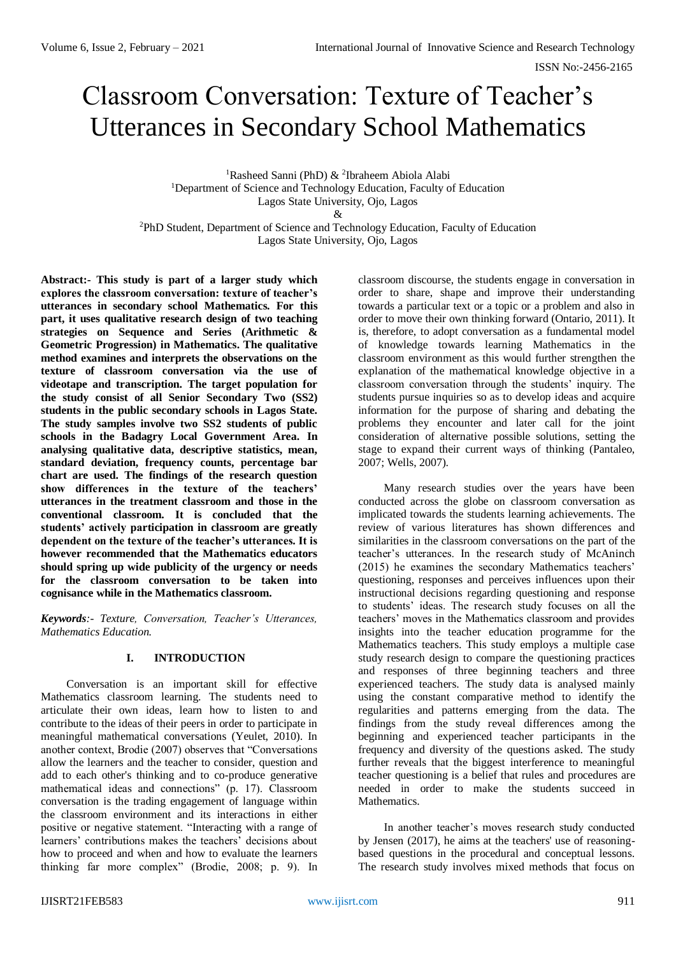# Classroom Conversation: Texture of Teacher's Utterances in Secondary School Mathematics

<sup>1</sup>Rasheed Sanni (PhD) & <sup>2</sup>Ibraheem Abiola Alabi <sup>1</sup>Department of Science and Technology Education, Faculty of Education Lagos State University, Ojo, Lagos

 $\&$ 

<sup>2</sup>PhD Student, Department of Science and Technology Education, Faculty of Education Lagos State University, Ojo, Lagos

**Abstract:- This study is part of a larger study which explores the classroom conversation: texture of teacher's utterances in secondary school Mathematics. For this part, it uses qualitative research design of two teaching strategies on Sequence and Series (Arithmetic & Geometric Progression) in Mathematics. The qualitative method examines and interprets the observations on the texture of classroom conversation via the use of videotape and transcription. The target population for the study consist of all Senior Secondary Two (SS2) students in the public secondary schools in Lagos State. The study samples involve two SS2 students of public schools in the Badagry Local Government Area. In analysing qualitative data, descriptive statistics, mean, standard deviation, frequency counts, percentage bar chart are used. The findings of the research question show differences in the texture of the teachers' utterances in the treatment classroom and those in the conventional classroom. It is concluded that the students' actively participation in classroom are greatly dependent on the texture of the teacher's utterances. It is however recommended that the Mathematics educators should spring up wide publicity of the urgency or needs for the classroom conversation to be taken into cognisance while in the Mathematics classroom.**

*Keywords:- Texture, Conversation, Teacher's Utterances, Mathematics Education.* 

# **I. INTRODUCTION**

Conversation is an important skill for effective Mathematics classroom learning. The students need to articulate their own ideas, learn how to listen to and contribute to the ideas of their peers in order to participate in meaningful mathematical conversations (Yeulet, 2010). In another context, Brodie (2007) observes that "Conversations allow the learners and the teacher to consider, question and add to each other's thinking and to co-produce generative mathematical ideas and connections" (p. 17). Classroom conversation is the trading engagement of language within the classroom environment and its interactions in either positive or negative statement. "Interacting with a range of learners' contributions makes the teachers' decisions about how to proceed and when and how to evaluate the learners thinking far more complex" (Brodie, 2008; p. 9). In

classroom discourse, the students engage in conversation in order to share, shape and improve their understanding towards a particular text or a topic or a problem and also in order to move their own thinking forward (Ontario, 2011). It is, therefore, to adopt conversation as a fundamental model of knowledge towards learning Mathematics in the classroom environment as this would further strengthen the explanation of the mathematical knowledge objective in a classroom conversation through the students' inquiry. The students pursue inquiries so as to develop ideas and acquire information for the purpose of sharing and debating the problems they encounter and later call for the joint consideration of alternative possible solutions, setting the stage to expand their current ways of thinking (Pantaleo, 2007; Wells, 2007).

Many research studies over the years have been conducted across the globe on classroom conversation as implicated towards the students learning achievements. The review of various literatures has shown differences and similarities in the classroom conversations on the part of the teacher's utterances. In the research study of McAninch (2015) he examines the secondary Mathematics teachers' questioning, responses and perceives influences upon their instructional decisions regarding questioning and response to students' ideas. The research study focuses on all the teachers' moves in the Mathematics classroom and provides insights into the teacher education programme for the Mathematics teachers. This study employs a multiple case study research design to compare the questioning practices and responses of three beginning teachers and three experienced teachers. The study data is analysed mainly using the constant comparative method to identify the regularities and patterns emerging from the data. The findings from the study reveal differences among the beginning and experienced teacher participants in the frequency and diversity of the questions asked. The study further reveals that the biggest interference to meaningful teacher questioning is a belief that rules and procedures are needed in order to make the students succeed in Mathematics.

In another teacher's moves research study conducted by Jensen (2017), he aims at the teachers' use of reasoningbased questions in the procedural and conceptual lessons. The research study involves mixed methods that focus on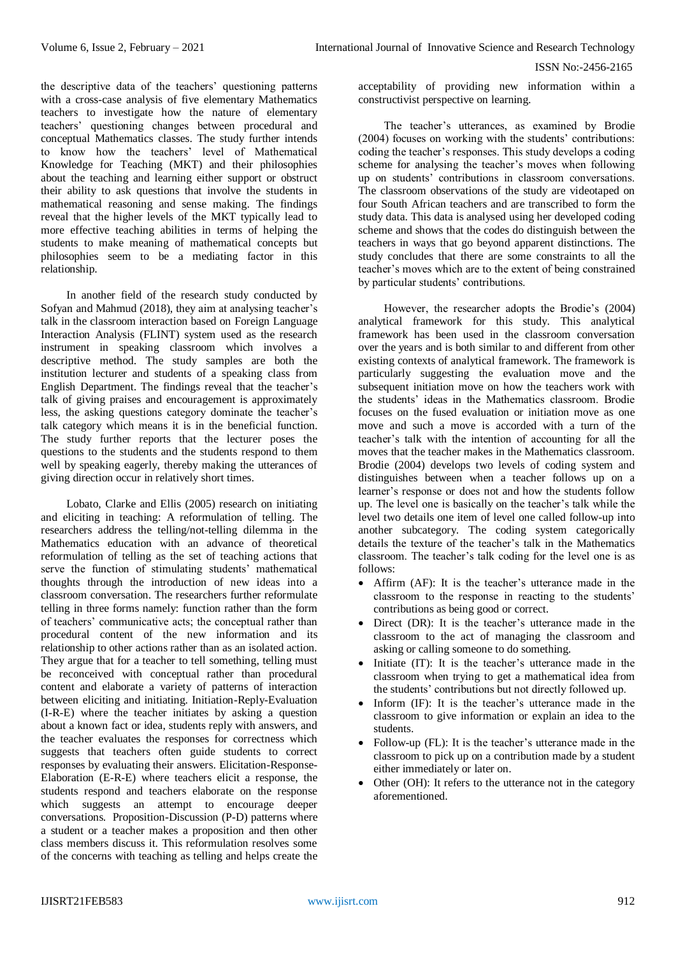the descriptive data of the teachers' questioning patterns with a cross-case analysis of five elementary Mathematics teachers to investigate how the nature of elementary teachers' questioning changes between procedural and conceptual Mathematics classes. The study further intends to know how the teachers' level of Mathematical Knowledge for Teaching (MKT) and their philosophies about the teaching and learning either support or obstruct their ability to ask questions that involve the students in mathematical reasoning and sense making. The findings reveal that the higher levels of the MKT typically lead to more effective teaching abilities in terms of helping the students to make meaning of mathematical concepts but philosophies seem to be a mediating factor in this relationship.

In another field of the research study conducted by Sofyan and Mahmud (2018), they aim at analysing teacher's talk in the classroom interaction based on Foreign Language Interaction Analysis (FLINT) system used as the research instrument in speaking classroom which involves a descriptive method. The study samples are both the institution lecturer and students of a speaking class from English Department. The findings reveal that the teacher's talk of giving praises and encouragement is approximately less, the asking questions category dominate the teacher's talk category which means it is in the beneficial function. The study further reports that the lecturer poses the questions to the students and the students respond to them well by speaking eagerly, thereby making the utterances of giving direction occur in relatively short times.

Lobato, Clarke and Ellis (2005) research on initiating and eliciting in teaching: A reformulation of telling. The researchers address the telling/not-telling dilemma in the Mathematics education with an advance of theoretical reformulation of telling as the set of teaching actions that serve the function of stimulating students' mathematical thoughts through the introduction of new ideas into a classroom conversation. The researchers further reformulate telling in three forms namely: function rather than the form of teachers' communicative acts; the conceptual rather than procedural content of the new information and its relationship to other actions rather than as an isolated action. They argue that for a teacher to tell something, telling must be reconceived with conceptual rather than procedural content and elaborate a variety of patterns of interaction between eliciting and initiating. Initiation-Reply-Evaluation (I-R-E) where the teacher initiates by asking a question about a known fact or idea, students reply with answers, and the teacher evaluates the responses for correctness which suggests that teachers often guide students to correct responses by evaluating their answers. Elicitation-Response-Elaboration (E-R-E) where teachers elicit a response, the students respond and teachers elaborate on the response which suggests an attempt to encourage deeper conversations. Proposition-Discussion (P-D) patterns where a student or a teacher makes a proposition and then other class members discuss it. This reformulation resolves some of the concerns with teaching as telling and helps create the

acceptability of providing new information within a constructivist perspective on learning.

The teacher's utterances, as examined by Brodie (2004) focuses on working with the students' contributions: coding the teacher's responses. This study develops a coding scheme for analysing the teacher's moves when following up on students' contributions in classroom conversations. The classroom observations of the study are videotaped on four South African teachers and are transcribed to form the study data. This data is analysed using her developed coding scheme and shows that the codes do distinguish between the teachers in ways that go beyond apparent distinctions. The study concludes that there are some constraints to all the teacher's moves which are to the extent of being constrained by particular students' contributions.

However, the researcher adopts the Brodie's (2004) analytical framework for this study. This analytical framework has been used in the classroom conversation over the years and is both similar to and different from other existing contexts of analytical framework. The framework is particularly suggesting the evaluation move and the subsequent initiation move on how the teachers work with the students' ideas in the Mathematics classroom. Brodie focuses on the fused evaluation or initiation move as one move and such a move is accorded with a turn of the teacher's talk with the intention of accounting for all the moves that the teacher makes in the Mathematics classroom. Brodie (2004) develops two levels of coding system and distinguishes between when a teacher follows up on a learner's response or does not and how the students follow up. The level one is basically on the teacher's talk while the level two details one item of level one called follow-up into another subcategory. The coding system categorically details the texture of the teacher's talk in the Mathematics classroom. The teacher's talk coding for the level one is as follows:

- Affirm (AF): It is the teacher's utterance made in the classroom to the response in reacting to the students' contributions as being good or correct.
- Direct (DR): It is the teacher's utterance made in the classroom to the act of managing the classroom and asking or calling someone to do something.
- Initiate (IT): It is the teacher's utterance made in the classroom when trying to get a mathematical idea from the students' contributions but not directly followed up.
- Inform (IF): It is the teacher's utterance made in the classroom to give information or explain an idea to the students.
- Follow-up (FL): It is the teacher's utterance made in the classroom to pick up on a contribution made by a student either immediately or later on.
- Other (OH): It refers to the utterance not in the category aforementioned.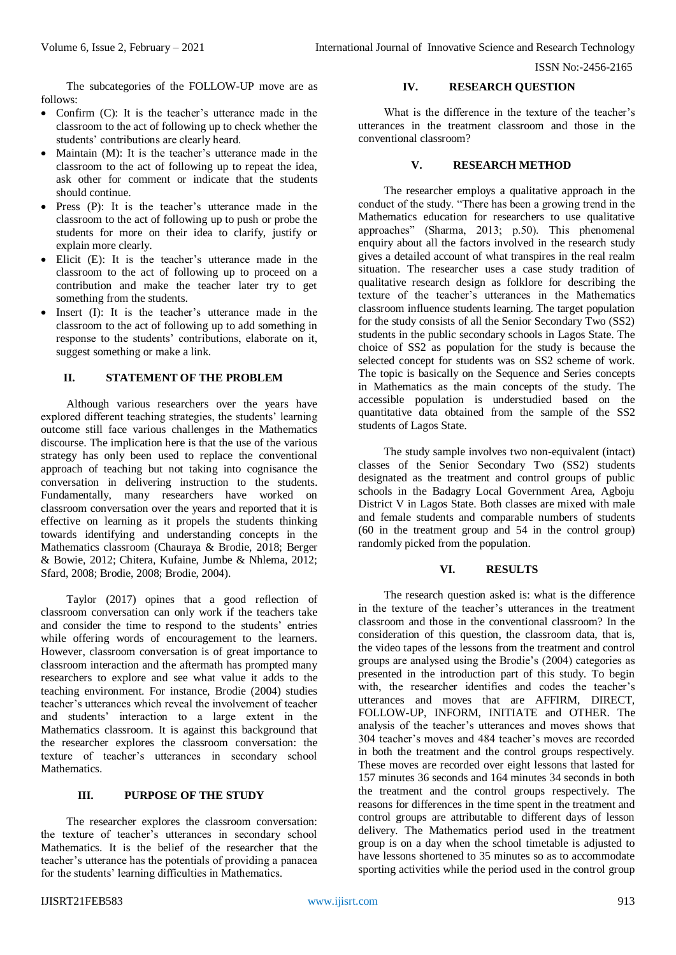The subcategories of the FOLLOW-UP move are as follows:

- Confirm (C): It is the teacher's utterance made in the classroom to the act of following up to check whether the students' contributions are clearly heard.
- Maintain (M): It is the teacher's utterance made in the classroom to the act of following up to repeat the idea, ask other for comment or indicate that the students should continue.
- Press (P): It is the teacher's utterance made in the classroom to the act of following up to push or probe the students for more on their idea to clarify, justify or explain more clearly.
- Elicit (E): It is the teacher's utterance made in the classroom to the act of following up to proceed on a contribution and make the teacher later try to get something from the students.
- Insert (I): It is the teacher's utterance made in the classroom to the act of following up to add something in response to the students' contributions, elaborate on it, suggest something or make a link.

# **II. STATEMENT OF THE PROBLEM**

Although various researchers over the years have explored different teaching strategies, the students' learning outcome still face various challenges in the Mathematics discourse. The implication here is that the use of the various strategy has only been used to replace the conventional approach of teaching but not taking into cognisance the conversation in delivering instruction to the students. Fundamentally, many researchers have worked on classroom conversation over the years and reported that it is effective on learning as it propels the students thinking towards identifying and understanding concepts in the Mathematics classroom (Chauraya & Brodie, 2018; Berger & Bowie, 2012; Chitera, Kufaine, Jumbe & Nhlema, 2012; Sfard, 2008; Brodie, 2008; Brodie, 2004).

Taylor (2017) opines that a good reflection of classroom conversation can only work if the teachers take and consider the time to respond to the students' entries while offering words of encouragement to the learners. However, classroom conversation is of great importance to classroom interaction and the aftermath has prompted many researchers to explore and see what value it adds to the teaching environment. For instance, Brodie (2004) studies teacher's utterances which reveal the involvement of teacher and students' interaction to a large extent in the Mathematics classroom. It is against this background that the researcher explores the classroom conversation: the texture of teacher's utterances in secondary school **Mathematics** 

#### **III. PURPOSE OF THE STUDY**

The researcher explores the classroom conversation: the texture of teacher's utterances in secondary school Mathematics. It is the belief of the researcher that the teacher's utterance has the potentials of providing a panacea for the students' learning difficulties in Mathematics.

## **IV. RESEARCH QUESTION**

What is the difference in the texture of the teacher's utterances in the treatment classroom and those in the conventional classroom?

#### **V. RESEARCH METHOD**

The researcher employs a qualitative approach in the conduct of the study. "There has been a growing trend in the Mathematics education for researchers to use qualitative approaches" (Sharma, 2013; p.50). This phenomenal enquiry about all the factors involved in the research study gives a detailed account of what transpires in the real realm situation. The researcher uses a case study tradition of qualitative research design as folklore for describing the texture of the teacher's utterances in the Mathematics classroom influence students learning. The target population for the study consists of all the Senior Secondary Two (SS2) students in the public secondary schools in Lagos State. The choice of SS2 as population for the study is because the selected concept for students was on SS2 scheme of work. The topic is basically on the Sequence and Series concepts in Mathematics as the main concepts of the study. The accessible population is understudied based on the quantitative data obtained from the sample of the SS2 students of Lagos State.

The study sample involves two non-equivalent (intact) classes of the Senior Secondary Two (SS2) students designated as the treatment and control groups of public schools in the Badagry Local Government Area, Agboju District V in Lagos State. Both classes are mixed with male and female students and comparable numbers of students (60 in the treatment group and 54 in the control group) randomly picked from the population.

#### **VI. RESULTS**

The research question asked is: what is the difference in the texture of the teacher's utterances in the treatment classroom and those in the conventional classroom? In the consideration of this question, the classroom data, that is, the video tapes of the lessons from the treatment and control groups are analysed using the Brodie's (2004) categories as presented in the introduction part of this study. To begin with, the researcher identifies and codes the teacher's utterances and moves that are AFFIRM, DIRECT, FOLLOW-UP, INFORM, INITIATE and OTHER. The analysis of the teacher's utterances and moves shows that 304 teacher's moves and 484 teacher's moves are recorded in both the treatment and the control groups respectively. These moves are recorded over eight lessons that lasted for 157 minutes 36 seconds and 164 minutes 34 seconds in both the treatment and the control groups respectively. The reasons for differences in the time spent in the treatment and control groups are attributable to different days of lesson delivery. The Mathematics period used in the treatment group is on a day when the school timetable is adjusted to have lessons shortened to 35 minutes so as to accommodate sporting activities while the period used in the control group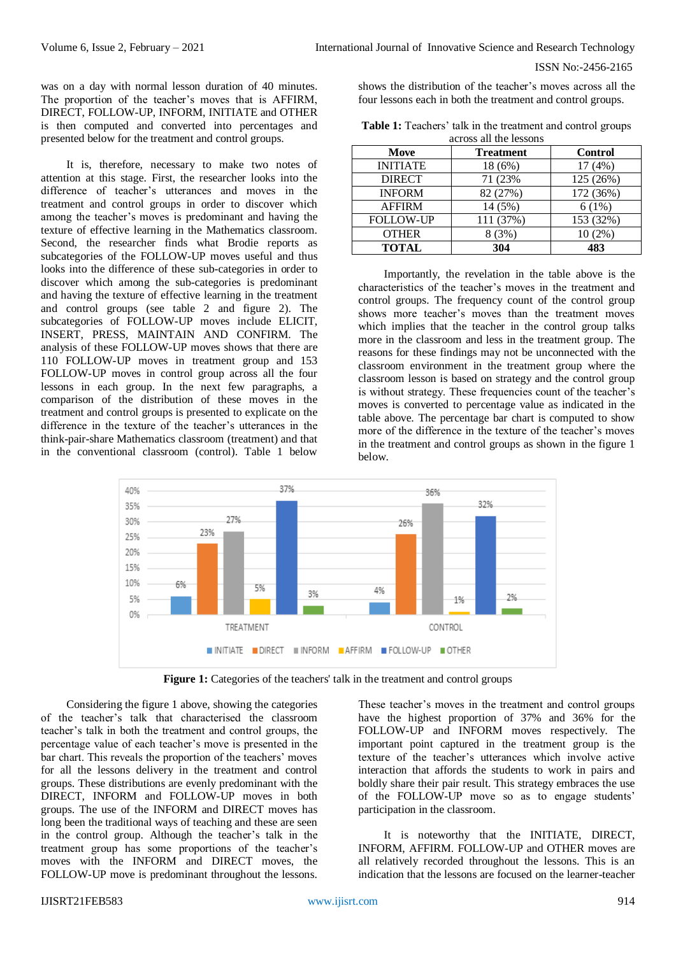was on a day with normal lesson duration of 40 minutes. The proportion of the teacher's moves that is AFFIRM, DIRECT, FOLLOW-UP, INFORM, INITIATE and OTHER is then computed and converted into percentages and presented below for the treatment and control groups.

It is, therefore, necessary to make two notes of attention at this stage. First, the researcher looks into the difference of teacher's utterances and moves in the treatment and control groups in order to discover which among the teacher's moves is predominant and having the texture of effective learning in the Mathematics classroom. Second, the researcher finds what Brodie reports as subcategories of the FOLLOW-UP moves useful and thus looks into the difference of these sub-categories in order to discover which among the sub-categories is predominant and having the texture of effective learning in the treatment and control groups (see table 2 and figure 2). The subcategories of FOLLOW-UP moves include ELICIT, INSERT, PRESS, MAINTAIN AND CONFIRM. The analysis of these FOLLOW-UP moves shows that there are 110 FOLLOW-UP moves in treatment group and 153 FOLLOW-UP moves in control group across all the four lessons in each group. In the next few paragraphs, a comparison of the distribution of these moves in the treatment and control groups is presented to explicate on the difference in the texture of the teacher's utterances in the think-pair-share Mathematics classroom (treatment) and that in the conventional classroom (control). Table 1 below

shows the distribution of the teacher's moves across all the four lessons each in both the treatment and control groups.

| <b>Table 1:</b> Teachers' talk in the treatment and control groups |  |  |  |  |
|--------------------------------------------------------------------|--|--|--|--|
| across all the lessons                                             |  |  |  |  |

| across all the ressurs |           |                |  |  |
|------------------------|-----------|----------------|--|--|
| Move                   | Treatment | <b>Control</b> |  |  |
| <b>INITIATE</b>        | 18 (6%)   | 17(4%)         |  |  |
| <b>DIRECT</b>          | 71 (23%)  | 125 (26%)      |  |  |
| <b>INFORM</b>          | 82 (27%)  | 172 (36%)      |  |  |
| <b>AFFIRM</b>          | 14 (5%)   | 6(1%)          |  |  |
| <b>FOLLOW-UP</b>       | 111 (37%) | 153 (32%)      |  |  |
| <b>OTHER</b>           | 8(3%)     | $10(2\%)$      |  |  |
| <b>TOTAL</b>           | 304       | 483            |  |  |

Importantly, the revelation in the table above is the characteristics of the teacher's moves in the treatment and control groups. The frequency count of the control group shows more teacher's moves than the treatment moves which implies that the teacher in the control group talks more in the classroom and less in the treatment group. The reasons for these findings may not be unconnected with the classroom environment in the treatment group where the classroom lesson is based on strategy and the control group is without strategy. These frequencies count of the teacher's moves is converted to percentage value as indicated in the table above. The percentage bar chart is computed to show more of the difference in the texture of the teacher's moves in the treatment and control groups as shown in the figure 1 below.



**Figure 1:** Categories of the teachers' talk in the treatment and control groups

Considering the figure 1 above, showing the categories of the teacher's talk that characterised the classroom teacher's talk in both the treatment and control groups, the percentage value of each teacher's move is presented in the bar chart. This reveals the proportion of the teachers' moves for all the lessons delivery in the treatment and control groups. These distributions are evenly predominant with the DIRECT, INFORM and FOLLOW-UP moves in both groups. The use of the INFORM and DIRECT moves has long been the traditional ways of teaching and these are seen in the control group. Although the teacher's talk in the treatment group has some proportions of the teacher's moves with the INFORM and DIRECT moves, the FOLLOW-UP move is predominant throughout the lessons.

These teacher's moves in the treatment and control groups have the highest proportion of 37% and 36% for the FOLLOW-UP and INFORM moves respectively. The important point captured in the treatment group is the texture of the teacher's utterances which involve active interaction that affords the students to work in pairs and boldly share their pair result. This strategy embraces the use of the FOLLOW-UP move so as to engage students' participation in the classroom.

It is noteworthy that the INITIATE, DIRECT, INFORM, AFFIRM. FOLLOW-UP and OTHER moves are all relatively recorded throughout the lessons. This is an indication that the lessons are focused on the learner-teacher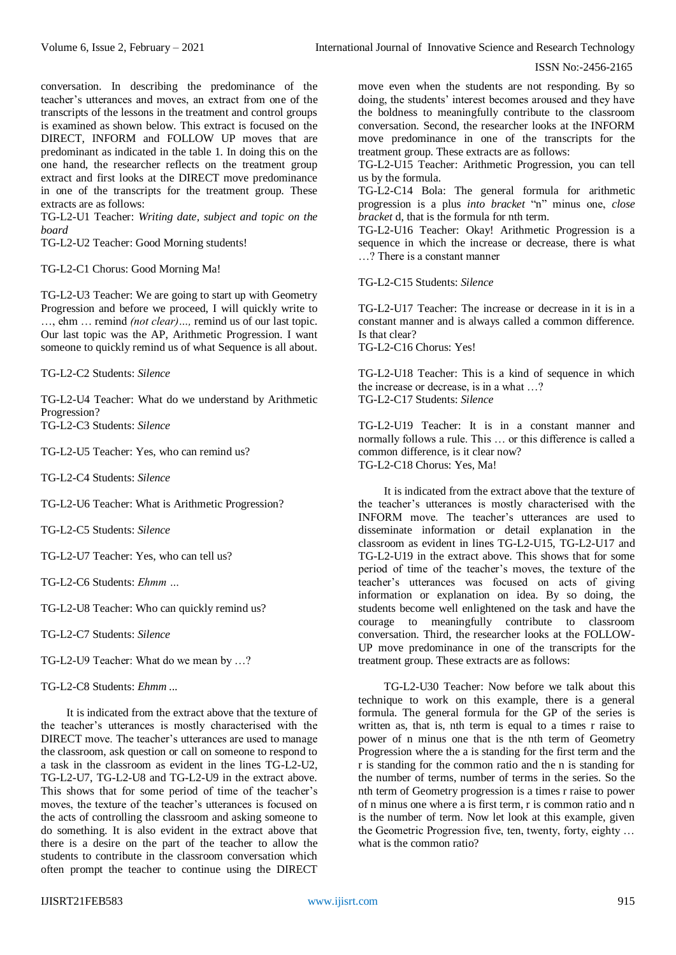conversation. In describing the predominance of the teacher's utterances and moves, an extract from one of the transcripts of the lessons in the treatment and control groups is examined as shown below. This extract is focused on the DIRECT, INFORM and FOLLOW UP moves that are predominant as indicated in the table 1. In doing this on the one hand, the researcher reflects on the treatment group extract and first looks at the DIRECT move predominance in one of the transcripts for the treatment group. These extracts are as follows:

TG-L2-U1 Teacher: *Writing date, subject and topic on the board*

TG-L2-U2 Teacher: Good Morning students!

TG-L2-C1 Chorus: Good Morning Ma!

TG-L2-U3 Teacher: We are going to start up with Geometry Progression and before we proceed, I will quickly write to …, ehm … remind *(not clear)…,* remind us of our last topic. Our last topic was the AP, Arithmetic Progression. I want someone to quickly remind us of what Sequence is all about.

TG-L2-C2 Students: *Silence*

TG-L2-U4 Teacher: What do we understand by Arithmetic Progression? TG-L2-C3 Students: *Silence*

TG-L2-U5 Teacher: Yes, who can remind us?

TG-L2-C4 Students: *Silence*

TG-L2-U6 Teacher: What is Arithmetic Progression?

TG-L2-C5 Students: *Silence*

TG-L2-U7 Teacher: Yes, who can tell us?

TG-L2-C6 Students: *Ehmm …*

TG-L2-U8 Teacher: Who can quickly remind us?

TG-L2-C7 Students: *Silence*

TG-L2-U9 Teacher: What do we mean by …?

TG-L2-C8 Students: *Ehmm ...*

It is indicated from the extract above that the texture of the teacher's utterances is mostly characterised with the DIRECT move. The teacher's utterances are used to manage the classroom, ask question or call on someone to respond to a task in the classroom as evident in the lines TG-L2-U2, TG-L2-U7, TG-L2-U8 and TG-L2-U9 in the extract above. This shows that for some period of time of the teacher's moves, the texture of the teacher's utterances is focused on the acts of controlling the classroom and asking someone to do something. It is also evident in the extract above that there is a desire on the part of the teacher to allow the students to contribute in the classroom conversation which often prompt the teacher to continue using the DIRECT

move even when the students are not responding. By so doing, the students' interest becomes aroused and they have the boldness to meaningfully contribute to the classroom conversation. Second, the researcher looks at the INFORM move predominance in one of the transcripts for the treatment group. These extracts are as follows:

TG-L2-U15 Teacher: Arithmetic Progression, you can tell us by the formula.

TG-L2-C14 Bola: The general formula for arithmetic progression is a plus *into bracket* "n" minus one, *close bracket* d, that is the formula for nth term.

TG-L2-U16 Teacher: Okay! Arithmetic Progression is a sequence in which the increase or decrease, there is what …? There is a constant manner

TG-L2-C15 Students: *Silence*

TG-L2-U17 Teacher: The increase or decrease in it is in a constant manner and is always called a common difference. Is that clear? TG-L2-C16 Chorus: Yes!

TG-L2-U18 Teacher: This is a kind of sequence in which the increase or decrease, is in a what …? TG-L2-C17 Students: *Silence*

TG-L2-U19 Teacher: It is in a constant manner and normally follows a rule. This … or this difference is called a common difference, is it clear now? TG-L2-C18 Chorus: Yes, Ma!

It is indicated from the extract above that the texture of the teacher's utterances is mostly characterised with the INFORM move. The teacher's utterances are used to disseminate information or detail explanation in the classroom as evident in lines TG-L2-U15, TG-L2-U17 and TG-L2-U19 in the extract above. This shows that for some period of time of the teacher's moves, the texture of the teacher's utterances was focused on acts of giving information or explanation on idea. By so doing, the students become well enlightened on the task and have the courage to meaningfully contribute to classroom conversation. Third, the researcher looks at the FOLLOW-UP move predominance in one of the transcripts for the treatment group. These extracts are as follows:

TG-L2-U30 Teacher: Now before we talk about this technique to work on this example, there is a general formula. The general formula for the GP of the series is written as, that is, nth term is equal to a times r raise to power of n minus one that is the nth term of Geometry Progression where the a is standing for the first term and the r is standing for the common ratio and the n is standing for the number of terms, number of terms in the series. So the nth term of Geometry progression is a times r raise to power of n minus one where a is first term, r is common ratio and n is the number of term. Now let look at this example, given the Geometric Progression five, ten, twenty, forty, eighty … what is the common ratio?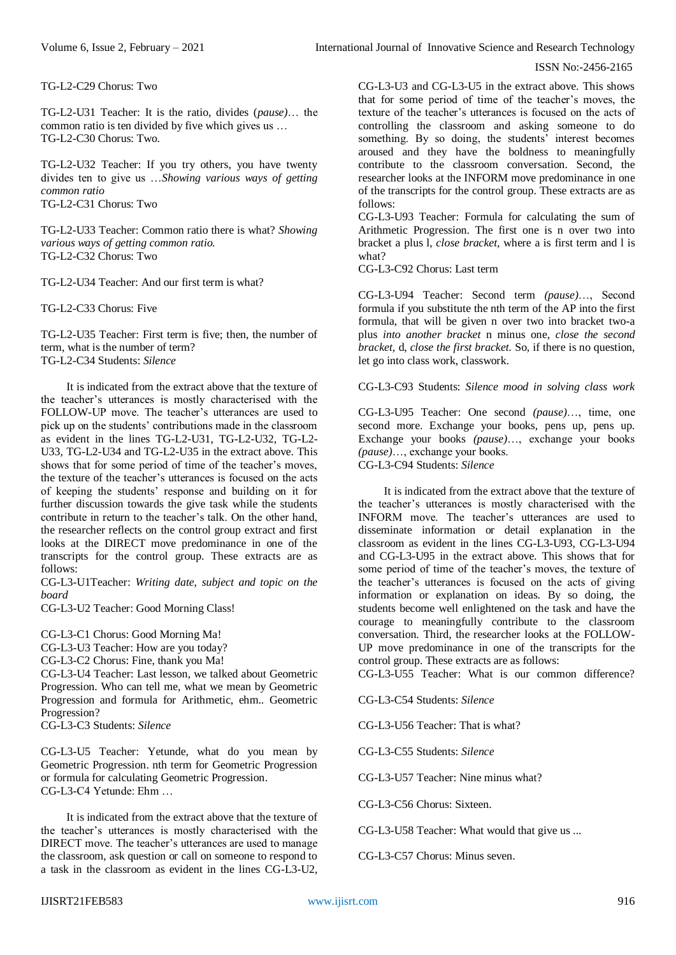TG-L2-C29 Chorus: Two

TG-L2-U31 Teacher: It is the ratio, divides (*pause)*… the common ratio is ten divided by five which gives us … TG-L2-C30 Chorus: Two.

TG-L2-U32 Teacher: If you try others, you have twenty divides ten to give us …*Showing various ways of getting common ratio* TG-L2-C31 Chorus: Two

TG-L2-U33 Teacher: Common ratio there is what? *Showing various ways of getting common ratio.* TG-L2-C32 Chorus: Two

TG-L2-U34 Teacher: And our first term is what?

TG-L2-C33 Chorus: Five

TG-L2-U35 Teacher: First term is five; then, the number of term, what is the number of term? TG-L2-C34 Students: *Silence*

It is indicated from the extract above that the texture of the teacher's utterances is mostly characterised with the FOLLOW-UP move. The teacher's utterances are used to pick up on the students' contributions made in the classroom as evident in the lines TG-L2-U31, TG-L2-U32, TG-L2- U33, TG-L2-U34 and TG-L2-U35 in the extract above. This shows that for some period of time of the teacher's moves, the texture of the teacher's utterances is focused on the acts of keeping the students' response and building on it for further discussion towards the give task while the students contribute in return to the teacher's talk. On the other hand, the researcher reflects on the control group extract and first looks at the DIRECT move predominance in one of the transcripts for the control group. These extracts are as

CG-L3-U1Teacher: *Writing date, subject and topic on the board*

CG-L3-U2 Teacher: Good Morning Class!

CG-L3-C1 Chorus: Good Morning Ma!

CG-L3-U3 Teacher: How are you today?

CG-L3-C2 Chorus: Fine, thank you Ma!

CG-L3-U4 Teacher: Last lesson, we talked about Geometric Progression. Who can tell me, what we mean by Geometric Progression and formula for Arithmetic, ehm.. Geometric Progression?

CG-L3-C3 Students: *Silence*

follows:

CG-L3-U5 Teacher: Yetunde, what do you mean by Geometric Progression. nth term for Geometric Progression or formula for calculating Geometric Progression. CG-L3-C4 Yetunde: Ehm …

It is indicated from the extract above that the texture of the teacher's utterances is mostly characterised with the DIRECT move. The teacher's utterances are used to manage the classroom, ask question or call on someone to respond to a task in the classroom as evident in the lines CG-L3-U2,

CG-L3-U3 and CG-L3-U5 in the extract above. This shows that for some period of time of the teacher's moves, the texture of the teacher's utterances is focused on the acts of controlling the classroom and asking someone to do something. By so doing, the students' interest becomes aroused and they have the boldness to meaningfully contribute to the classroom conversation. Second, the researcher looks at the INFORM move predominance in one of the transcripts for the control group. These extracts are as follows:

CG-L3-U93 Teacher: Formula for calculating the sum of Arithmetic Progression. The first one is n over two into bracket a plus l, *close bracket,* where a is first term and l is what?

CG-L3-C92 Chorus: Last term

CG-L3-U94 Teacher: Second term *(pause)*…, Second formula if you substitute the nth term of the AP into the first formula, that will be given n over two into bracket two-a plus *into another bracket* n minus one, *close the second bracket,* d, *close the first bracket.* So, if there is no question, let go into class work, classwork.

CG-L3-C93 Students: *Silence mood in solving class work*

CG-L3-U95 Teacher: One second *(pause)*…, time, one second more. Exchange your books, pens up, pens up. Exchange your books *(pause)*…, exchange your books *(pause)*…, exchange your books. CG-L3-C94 Students: *Silence*

It is indicated from the extract above that the texture of the teacher's utterances is mostly characterised with the INFORM move. The teacher's utterances are used to disseminate information or detail explanation in the classroom as evident in the lines CG-L3-U93, CG-L3-U94 and CG-L3-U95 in the extract above. This shows that for some period of time of the teacher's moves, the texture of the teacher's utterances is focused on the acts of giving information or explanation on ideas. By so doing, the students become well enlightened on the task and have the courage to meaningfully contribute to the classroom conversation. Third, the researcher looks at the FOLLOW-UP move predominance in one of the transcripts for the control group. These extracts are as follows:

CG-L3-U55 Teacher: What is our common difference?

CG-L3-C54 Students: *Silence*

CG-L3-U56 Teacher: That is what?

CG-L3-C55 Students: *Silence*

CG-L3-U57 Teacher: Nine minus what?

CG-L3-C56 Chorus: Sixteen.

CG-L3-U58 Teacher: What would that give us ...

CG-L3-C57 Chorus: Minus seven.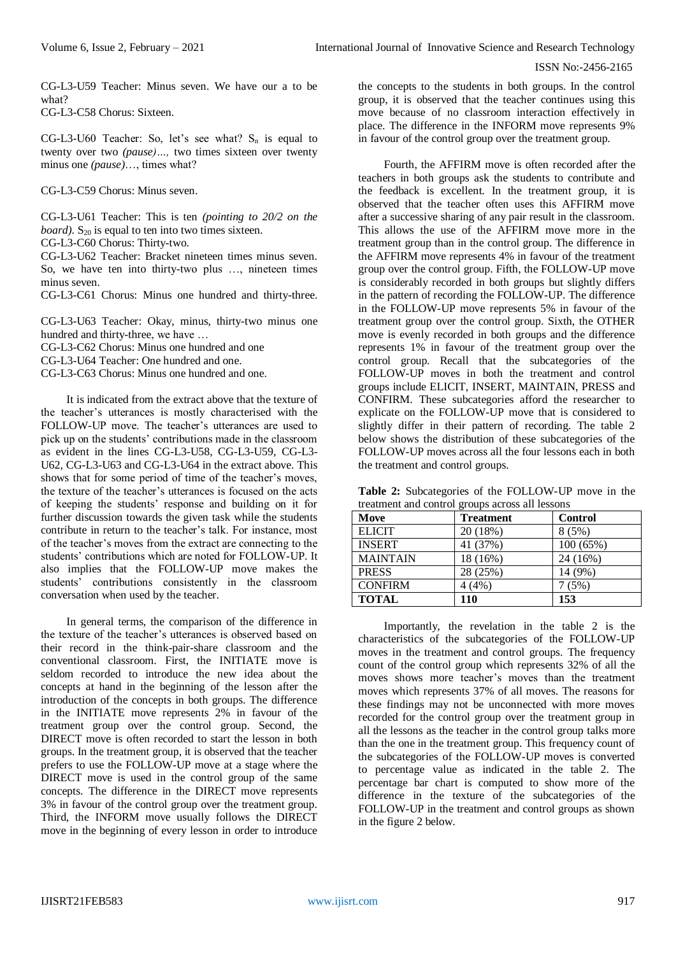CG-L3-U59 Teacher: Minus seven. We have our a to be what? CG-L3-C58 Chorus: Sixteen.

CG-L3-U60 Teacher: So, let's see what?  $S_n$  is equal to twenty over two *(pause)…,* two times sixteen over twenty minus one *(pause)*…, times what?

CG-L3-C59 Chorus: Minus seven.

CG-L3-U61 Teacher: This is ten *(pointing to 20/2 on the board*).  $S_{20}$  is equal to ten into two times sixteen.

CG-L3-C60 Chorus: Thirty-two.

CG-L3-U62 Teacher: Bracket nineteen times minus seven. So, we have ten into thirty-two plus …, nineteen times minus seven.

CG-L3-C61 Chorus: Minus one hundred and thirty-three.

CG-L3-U63 Teacher: Okay, minus, thirty-two minus one hundred and thirty-three, we have …

CG-L3-C62 Chorus: Minus one hundred and one

CG-L3-U64 Teacher: One hundred and one.

CG-L3-C63 Chorus: Minus one hundred and one.

It is indicated from the extract above that the texture of the teacher's utterances is mostly characterised with the FOLLOW-UP move. The teacher's utterances are used to pick up on the students' contributions made in the classroom as evident in the lines CG-L3-U58, CG-L3-U59, CG-L3- U62, CG-L3-U63 and CG-L3-U64 in the extract above. This shows that for some period of time of the teacher's moves, the texture of the teacher's utterances is focused on the acts of keeping the students' response and building on it for further discussion towards the given task while the students contribute in return to the teacher's talk. For instance, most of the teacher's moves from the extract are connecting to the students' contributions which are noted for FOLLOW-UP. It also implies that the FOLLOW-UP move makes the students' contributions consistently in the classroom conversation when used by the teacher.

In general terms, the comparison of the difference in the texture of the teacher's utterances is observed based on their record in the think-pair-share classroom and the conventional classroom. First, the INITIATE move is seldom recorded to introduce the new idea about the concepts at hand in the beginning of the lesson after the introduction of the concepts in both groups. The difference in the INITIATE move represents 2% in favour of the treatment group over the control group. Second, the DIRECT move is often recorded to start the lesson in both groups. In the treatment group, it is observed that the teacher prefers to use the FOLLOW-UP move at a stage where the DIRECT move is used in the control group of the same concepts. The difference in the DIRECT move represents 3% in favour of the control group over the treatment group. Third, the INFORM move usually follows the DIRECT move in the beginning of every lesson in order to introduce

the concepts to the students in both groups. In the control group, it is observed that the teacher continues using this move because of no classroom interaction effectively in place. The difference in the INFORM move represents 9% in favour of the control group over the treatment group.

Fourth, the AFFIRM move is often recorded after the teachers in both groups ask the students to contribute and the feedback is excellent. In the treatment group, it is observed that the teacher often uses this AFFIRM move after a successive sharing of any pair result in the classroom. This allows the use of the AFFIRM move more in the treatment group than in the control group. The difference in the AFFIRM move represents 4% in favour of the treatment group over the control group. Fifth, the FOLLOW-UP move is considerably recorded in both groups but slightly differs in the pattern of recording the FOLLOW-UP. The difference in the FOLLOW-UP move represents 5% in favour of the treatment group over the control group. Sixth, the OTHER move is evenly recorded in both groups and the difference represents 1% in favour of the treatment group over the control group. Recall that the subcategories of the FOLLOW-UP moves in both the treatment and control groups include ELICIT, INSERT, MAINTAIN, PRESS and CONFIRM. These subcategories afford the researcher to explicate on the FOLLOW-UP move that is considered to slightly differ in their pattern of recording. The table 2 below shows the distribution of these subcategories of the FOLLOW-UP moves across all the four lessons each in both the treatment and control groups.

| <b>Table 2:</b> Subcategories of the FOLLOW-UP move in the |  |  |
|------------------------------------------------------------|--|--|
| treatment and control groups across all lessons            |  |  |

| Move            | <b>Treatment</b> | <b>Control</b> |
|-----------------|------------------|----------------|
| <b>ELICIT</b>   | 20 (18%)         | 8(5%)          |
| <b>INSERT</b>   | 41 (37%)         | 100(65%)       |
| <b>MAINTAIN</b> | 18 (16%)         | 24 (16%)       |
| <b>PRESS</b>    | 28 (25%)         | 14 (9%)        |
| <b>CONFIRM</b>  | 4(4%)            | 7(5%)          |
| <b>TOTAL</b>    | 110              | 153            |

Importantly, the revelation in the table 2 is the characteristics of the subcategories of the FOLLOW-UP moves in the treatment and control groups. The frequency count of the control group which represents 32% of all the moves shows more teacher's moves than the treatment moves which represents 37% of all moves. The reasons for these findings may not be unconnected with more moves recorded for the control group over the treatment group in all the lessons as the teacher in the control group talks more than the one in the treatment group. This frequency count of the subcategories of the FOLLOW-UP moves is converted to percentage value as indicated in the table 2. The percentage bar chart is computed to show more of the difference in the texture of the subcategories of the FOLLOW-UP in the treatment and control groups as shown in the figure 2 below.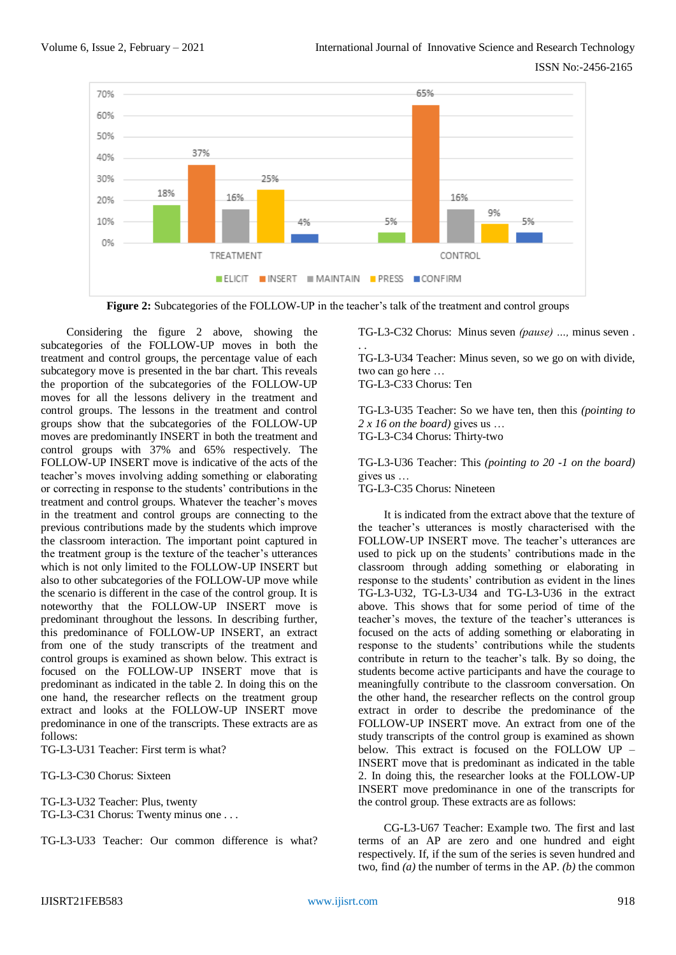

**Figure 2:** Subcategories of the FOLLOW-UP in the teacher's talk of the treatment and control groups

. .

Considering the figure 2 above, showing the subcategories of the FOLLOW-UP moves in both the treatment and control groups, the percentage value of each subcategory move is presented in the bar chart. This reveals the proportion of the subcategories of the FOLLOW-UP moves for all the lessons delivery in the treatment and control groups. The lessons in the treatment and control groups show that the subcategories of the FOLLOW-UP moves are predominantly INSERT in both the treatment and control groups with 37% and 65% respectively. The FOLLOW-UP INSERT move is indicative of the acts of the teacher's moves involving adding something or elaborating or correcting in response to the students' contributions in the treatment and control groups. Whatever the teacher's moves in the treatment and control groups are connecting to the previous contributions made by the students which improve the classroom interaction. The important point captured in the treatment group is the texture of the teacher's utterances which is not only limited to the FOLLOW-UP INSERT but also to other subcategories of the FOLLOW-UP move while the scenario is different in the case of the control group. It is noteworthy that the FOLLOW-UP INSERT move is predominant throughout the lessons. In describing further, this predominance of FOLLOW-UP INSERT, an extract from one of the study transcripts of the treatment and control groups is examined as shown below. This extract is focused on the FOLLOW-UP INSERT move that is predominant as indicated in the table 2. In doing this on the one hand, the researcher reflects on the treatment group extract and looks at the FOLLOW-UP INSERT move predominance in one of the transcripts. These extracts are as follows:

TG-L3-U31 Teacher: First term is what?

TG-L3-C30 Chorus: Sixteen

TG-L3-U32 Teacher: Plus, twenty TG-L3-C31 Chorus: Twenty minus one . . .

TG-L3-U33 Teacher: Our common difference is what?

TG-L3-C32 Chorus: Minus seven *(pause) …,* minus seven .

TG-L3-U34 Teacher: Minus seven, so we go on with divide, two can go here … TG-L3-C33 Chorus: Ten

TG-L3-U35 Teacher: So we have ten, then this *(pointing to 2 x 16 on the board)* gives us … TG-L3-C34 Chorus: Thirty-two

TG-L3-U36 Teacher: This *(pointing to 20 -1 on the board)*  gives us … TG-L3-C35 Chorus: Nineteen

It is indicated from the extract above that the texture of the teacher's utterances is mostly characterised with the FOLLOW-UP INSERT move. The teacher's utterances are used to pick up on the students' contributions made in the classroom through adding something or elaborating in response to the students' contribution as evident in the lines TG-L3-U32, TG-L3-U34 and TG-L3-U36 in the extract above. This shows that for some period of time of the teacher's moves, the texture of the teacher's utterances is focused on the acts of adding something or elaborating in response to the students' contributions while the students contribute in return to the teacher's talk. By so doing, the students become active participants and have the courage to meaningfully contribute to the classroom conversation. On the other hand, the researcher reflects on the control group extract in order to describe the predominance of the FOLLOW-UP INSERT move. An extract from one of the study transcripts of the control group is examined as shown below. This extract is focused on the FOLLOW UP – INSERT move that is predominant as indicated in the table 2. In doing this, the researcher looks at the FOLLOW-UP INSERT move predominance in one of the transcripts for the control group. These extracts are as follows:

CG-L3-U67 Teacher: Example two. The first and last terms of an AP are zero and one hundred and eight respectively. If, if the sum of the series is seven hundred and two, find *(a)* the number of terms in the AP. *(b)* the common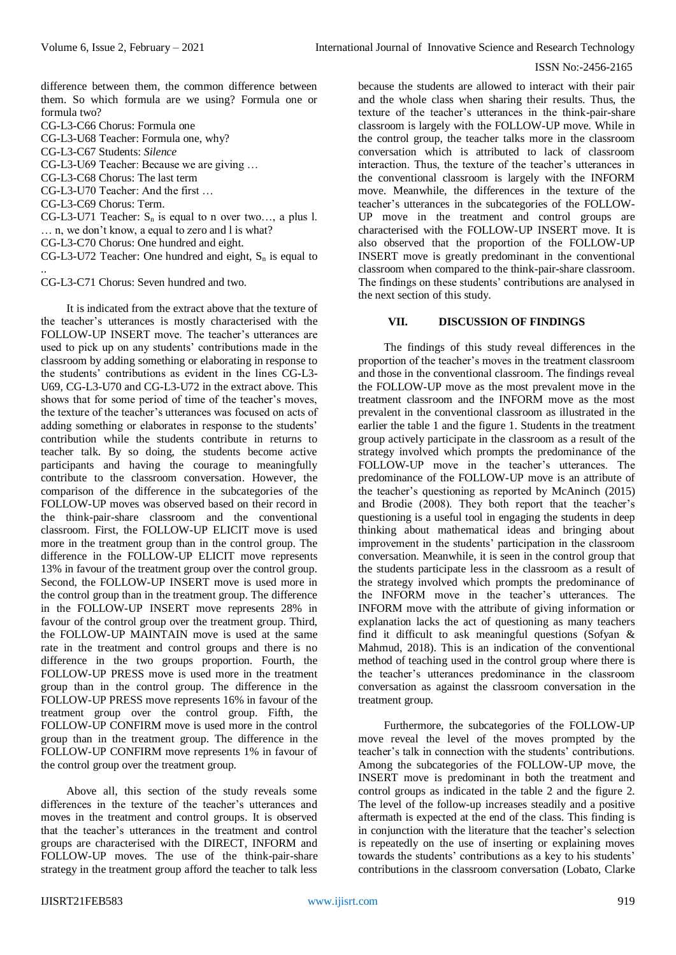difference between them, the common difference between them. So which formula are we using? Formula one or formula two?

CG-L3-C66 Chorus: Formula one

CG-L3-U68 Teacher: Formula one, why?

CG-L3-C67 Students: *Silence*

CG-L3-U69 Teacher: Because we are giving …

CG-L3-C68 Chorus: The last term

CG-L3-U70 Teacher: And the first …

CG-L3-C69 Chorus: Term.

CG-L3-U71 Teacher:  $S_n$  is equal to n over two..., a plus l. … n, we don't know, a equal to zero and l is what?

CG-L3-C70 Chorus: One hundred and eight.

CG-L3-U72 Teacher: One hundred and eight,  $S_n$  is equal to ..

CG-L3-C71 Chorus: Seven hundred and two.

It is indicated from the extract above that the texture of the teacher's utterances is mostly characterised with the FOLLOW-UP INSERT move. The teacher's utterances are used to pick up on any students' contributions made in the classroom by adding something or elaborating in response to the students' contributions as evident in the lines CG-L3- U69, CG-L3-U70 and CG-L3-U72 in the extract above. This shows that for some period of time of the teacher's moves, the texture of the teacher's utterances was focused on acts of adding something or elaborates in response to the students' contribution while the students contribute in returns to teacher talk. By so doing, the students become active participants and having the courage to meaningfully contribute to the classroom conversation. However, the comparison of the difference in the subcategories of the FOLLOW-UP moves was observed based on their record in the think-pair-share classroom and the conventional classroom. First, the FOLLOW-UP ELICIT move is used more in the treatment group than in the control group. The difference in the FOLLOW-UP ELICIT move represents 13% in favour of the treatment group over the control group. Second, the FOLLOW-UP INSERT move is used more in the control group than in the treatment group. The difference in the FOLLOW-UP INSERT move represents 28% in favour of the control group over the treatment group. Third, the FOLLOW-UP MAINTAIN move is used at the same rate in the treatment and control groups and there is no difference in the two groups proportion. Fourth, the FOLLOW-UP PRESS move is used more in the treatment group than in the control group. The difference in the FOLLOW-UP PRESS move represents 16% in favour of the treatment group over the control group. Fifth, the FOLLOW-UP CONFIRM move is used more in the control group than in the treatment group. The difference in the FOLLOW-UP CONFIRM move represents 1% in favour of the control group over the treatment group.

Above all, this section of the study reveals some differences in the texture of the teacher's utterances and moves in the treatment and control groups. It is observed that the teacher's utterances in the treatment and control groups are characterised with the DIRECT, INFORM and FOLLOW-UP moves. The use of the think-pair-share strategy in the treatment group afford the teacher to talk less

because the students are allowed to interact with their pair and the whole class when sharing their results. Thus, the texture of the teacher's utterances in the think-pair-share classroom is largely with the FOLLOW-UP move. While in the control group, the teacher talks more in the classroom conversation which is attributed to lack of classroom interaction. Thus, the texture of the teacher's utterances in the conventional classroom is largely with the INFORM move. Meanwhile, the differences in the texture of the teacher's utterances in the subcategories of the FOLLOW-UP move in the treatment and control groups are characterised with the FOLLOW-UP INSERT move. It is also observed that the proportion of the FOLLOW-UP INSERT move is greatly predominant in the conventional classroom when compared to the think-pair-share classroom. The findings on these students' contributions are analysed in the next section of this study.

## **VII. DISCUSSION OF FINDINGS**

The findings of this study reveal differences in the proportion of the teacher's moves in the treatment classroom and those in the conventional classroom. The findings reveal the FOLLOW-UP move as the most prevalent move in the treatment classroom and the INFORM move as the most prevalent in the conventional classroom as illustrated in the earlier the table 1 and the figure 1. Students in the treatment group actively participate in the classroom as a result of the strategy involved which prompts the predominance of the FOLLOW-UP move in the teacher's utterances. The predominance of the FOLLOW-UP move is an attribute of the teacher's questioning as reported by McAninch (2015) and Brodie (2008). They both report that the teacher's questioning is a useful tool in engaging the students in deep thinking about mathematical ideas and bringing about improvement in the students' participation in the classroom conversation. Meanwhile, it is seen in the control group that the students participate less in the classroom as a result of the strategy involved which prompts the predominance of the INFORM move in the teacher's utterances. The INFORM move with the attribute of giving information or explanation lacks the act of questioning as many teachers find it difficult to ask meaningful questions (Sofyan & Mahmud, 2018). This is an indication of the conventional method of teaching used in the control group where there is the teacher's utterances predominance in the classroom conversation as against the classroom conversation in the treatment group.

Furthermore, the subcategories of the FOLLOW-UP move reveal the level of the moves prompted by the teacher's talk in connection with the students' contributions. Among the subcategories of the FOLLOW-UP move, the INSERT move is predominant in both the treatment and control groups as indicated in the table 2 and the figure 2. The level of the follow-up increases steadily and a positive aftermath is expected at the end of the class. This finding is in conjunction with the literature that the teacher's selection is repeatedly on the use of inserting or explaining moves towards the students' contributions as a key to his students' contributions in the classroom conversation (Lobato, Clarke